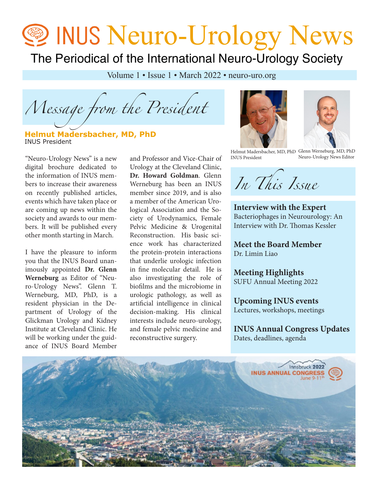# **Deuro-Urology News**

The Periodical of the International Neuro-Urology Society

Volume 1 • Issue 1 • March 2022 • neuro-uro.org

*Message from the President*

**Helmut Madersbacher, MD, PhD** INUS President

digital brochure dedicated to the information of INUS members to increase their awareness on recently published articles, events which have taken place or are coming up news within the society and awards to our members. It will be published every other month starting in March.

I have the pleasure to inform you that the INUS Board unanimously appointed **Dr. Glenn Werneburg** as Editor of "Neuro-Urology News". Glenn T. Werneburg, MD, PhD, is a resident physician in the Department of Urology of the Glickman Urology and Kidney Institute at Cleveland Clinic. He will be working under the guidance of INUS Board Member

and Professor and Vice-Chair of Urology at the Cleveland Clinic, **Dr. Howard Goldman**. Glenn Werneburg has been an INUS member since 2019, and is also a member of the American Urological Association and the Society of Urodynamics, Female Pelvic Medicine & Urogenital Reconstruction. His basic science work has characterized the protein-protein interactions that underlie urologic infection in fine molecular detail. He is also investigating the role of biofilms and the microbiome in urologic pathology, as well as artificial intelligence in clinical decision-making. His clinical interests include neuro-urology, and female pelvic medicine and reconstructive surgery.





Helmut Madersbacher, MD, PhD Glenn Werneburg, MD, PhD INUS President "Neuro-Urology News" is a new and Professor and Vice-Chair of INUS President Neuro-Urology News Editor

*In This Issue*

**Interview with the Expert** Bacteriophages in Neurourology: An Interview with Dr. Thomas Kessler

**Meet the Board Member** Dr. Limin Liao

**Meeting Highlights** SUFU Annual Meeting 2022

**Upcoming INUS events** Lectures, workshops, meetings

**INUS Annual Congress Updates** Dates, deadlines, agenda

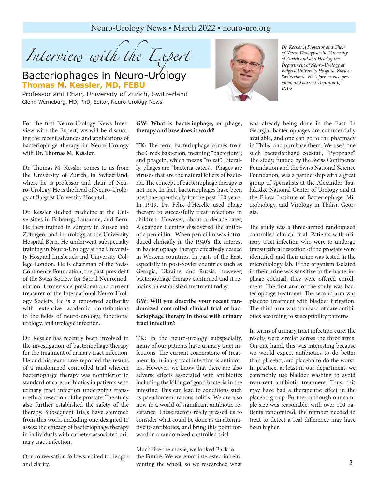#### Neuro-Urology News • March 2022 • neuro-uro.org

*Interview with the Expert*

### Bacteriophages in Neuro-Urology **Thomas M. Kessler, MD, FEBU**

Professor and Chair, University of Zurich, Switzerland Glenn Werneburg, MD, PhD, Editor, Neuro-Urology News

For the first Neuro-Urology News Interview with the Expert, we will be discussing the recent advances and applications of bacteriophage therapy in Neuro-Urology with **Dr. Thomas M. Kessler**.

Dr. Thomas M. Kessler comes to us from the University of Zurich, in Switzerland, where he is professor and chair of Neuro-Urology. He is the head of Neuro-Urology at Balgrist University Hospital.

Dr. Kessler studied medicine at the Universities in Fribourg, Lausanne, and Bern. He then trained in surgery in Sursee and Zofingen, and in urology at the University Hospital Bern. He underwent subspecialty training in Neuro-Urology at the University Hospital Innsbruck and University College London. He is chairman of the Swiss Continence Foundation, the past-president of the Swiss Society for Sacral Neuromodulation, former vice-president and current treasurer of the International Neuro-Urology Society. He is a renowned authority with extensive academic contributions to the fields of neuro-urology, functional urology, and urologic infection.

Dr. Kessler has recently been involved in the investigation of bacteriophage therapy for the treatment of urinary tract infection. He and his team have reported the results of a randomized controlled trial wherein bacteriophage therapy was noninferior to standard of care antibiotics in patients with urinary tract infection undergoing transurethral resection of the prostate. The study also further established the safety of the therapy. Subsequent trials have stemmed from this work, including one designed to assess the efficacy of bacteriophage therapy in individuals with catheter-associated urinary tract infection.

Our conversation follows, edited for length and clarity.

#### **GW: What is bacteriophage, or phage, therapy and how does it work?**

**TK:** The term bacteriophage comes from the Greek bakterion, meaning "bacterium"; and phagein, which means "to eat". Literally, phages are "bacteria eaters". Phages are viruses that are the natural killers of bacteria. The concept of bacteriophage therapy is not new. In fact, bacteriophages have been used therapeutically for the past 100 years. In 1919, Dr. Félix d'Hérelle used phage therapy to successfully treat infections in children. However, about a decade later, Alexander Fleming discovered the antibiotic penicillin. When penicillin was introduced clinically in the 1940's, the interest in bacteriophage therapy effectively ceased in Western countries. In parts of the East, especially in post-Soviet countries such as Georgia, Ukraine, and Russia, however, bacteriophage therapy continued and it remains an established treatment today.

#### **GW: Will you describe your recent randomized controlled clinical trial of bacteriophage therapy in those with urinary tract infection?**

**TK:** In the neuro-urology subspecialty, many of our patients have urinary tract infections. The current cornerstone of treatment for urinary tract infection is antibiotics. However, we know that there are also adverse effects associated with antibiotics including the killing of good bacteria in the intestine. This can lead to conditions such as pseudomembranous colitis. We are also now in a world of significant antibiotic resistance. These factors really pressed us to consider what could be done as an alternative to antibiotics, and bring this point forward in a randomized controlled trial.

Much like the movie, we looked Back to the Future. We were not interested in reinventing the wheel, so we researched what

*Dr. Kessler is Professor and Chair of Neuro-Urology at the University of Zurich and and Head of the Department of Neuro-Urology at Balgrist University Hospital, Zurich, Switzerland. He is former vice-president, and current Treasurer of INUS*

was already being done in the East. In Georgia, bacteriophages are commercially available, and one can go to the pharmacy in Tbilisi and purchase them. We used one such bacteriophage cocktail, "Pyophage". The study, funded by the Swiss Continence Foundation and the Swiss National Science Foundation, was a partnership with a great group of specialists at the Alexander Tsulukidze National Center of Urology and at the Eliava Institute of Bacteriophage, Microbiology, and Virology in Tbilisi, Georgia.

The study was a three-armed randomized controlled clinical trial. Patients with urinary tract infection who were to undergo transurethral resection of the prostate were identified, and their urine was tested in the microbiology lab. If the organism isolated in their urine was sensitive to the bacteriophage cocktail, they were offered enrollment. The first arm of the study was bacteriophage treatment. The second arm was placebo treatment with bladder irrigation. The third arm was standard of care antibiotics according to susceptibility patterns.

In terms of urinary tract infection cure, the results were similar across the three arms. On one hand, this was interesting because we would expect antibiotics to do better than placebo, and placebo to do the worst. In practice, at least in our department, we commonly use bladder washing to avoid recurrent antibiotic treatment. Thus, this may have had a therapeutic effect in the placebo group. Further, although our sample size was reasonable, with over 100 patients randomized, the number needed to treat to detect a real difference may have been higher.

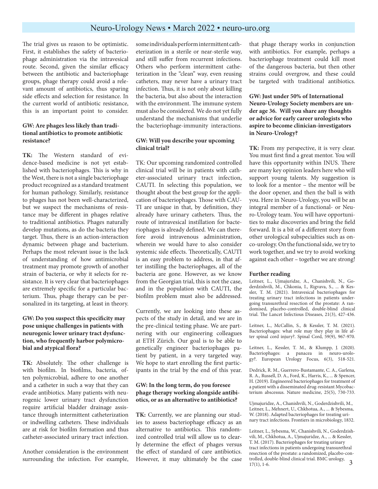#### Neuro-Urology News • March 2022 • neuro-uro.org

The trial gives us reason to be optimistic. First, it establishes the safety of bacteriophage administration via the intravesical route. Second, given the similar efficacy between the antibiotic and bacteriophage groups, phage therapy could avoid a relevant amount of antibiotics, thus sparing side effects and selection for resistance. In the current world of antibiotic resistance, this is an important point to consider.

#### **GW: Are phages less likely than traditional antibiotics to promote antibiotic resistance?**

**TK:** The Western standard of evidence-based medicine is not yet established with bacteriophages. This is why in the West, there is not a single bacteriophage product recognized as a standard treatment for human pathology. Similarly, resistance to phages has not been well-characterized, but we suspect the mechanisms of resistance may be different in phages relative to traditional antibiotics. Phages naturally develop mutations, as do the bacteria they target. Thus, there is an action-interaction dynamic between phage and bacterium. Perhaps the most relevant issue is the lack of understanding of how antimicrobial treatment may promote growth of another strain of bacteria, or why it selects for resistance. It is very clear that bacteriophages are extremely specific for a particular bacterium. Thus, phage therapy can be personalized in its targeting, at least in theory.

#### **GW: Do you suspect this specificity may pose unique challenges in patients with neurogenic lower urinary tract dysfunction, who frequently harbor polymicrobial and atypical flora?**

**TK:** Absolutely. The other challenge is with biofilm. In biofilms, bacteria, often polymicrobial, adhere to one another and a catheter in such a way that they can evade antibiotics. Many patients with neurogenic lower urinary tract dysfunction require artificial bladder drainage assistance through intermittent catheterization or indwelling catheters. These individuals are at risk for biofilm formation and thus catheter-associated urinary tract infection.

Another consideration is the environment surrounding the infection. For example,

some individuals perform intermittent catheterization in a sterile or near-sterile way, and still suffer from recurrent infections. Others who perform intermittent catheterization in the "clean" way, even reusing catheters, may never have a urinary tract infection. Thus, it is not only about killing the bacteria, but also about the interaction with the environment. The immune system must also be considered. We do not yet fully understand the mechanisms that underlie the bacteriophage-immunity interactions.

#### **GW: Will you describe your upcoming clinical trial?**

TK: Our upcoming randomized controlled clinical trial will be in patients with catheter-associated urinary tract infection, CAUTI. In selecting this population, we thought about the best group for the application of bacteriophages. Those with CAU-TI are unique in that, by definition, they already have urinary catheters. Thus, the route of intravesical instillation for bacteriophages is already defined. We can therefore avoid intravenous administration, wherein we would have to also consider systemic side effects. Theoretically, CAUTI is an easy problem to address, in that after instilling the bacteriophages, all of the bacteria are gone. However, as we know from the Georgian trial, this is not the case, and in the population with CAUTI, the biofilm problem must also be addressed.

Currently, we are looking into these aspects of the study in detail, and we are in the pre-clinical testing phase. We are partnering with our engineering colleagues at ETH Zürich. Our goal is to be able to genetically engineer bacteriophages patient by patient, in a very targeted way. We hope to start enrolling the first participants in the trial by the end of this year.

#### **GW: In the long term, do you foresee phage therapy working alongside antibiotics, or as an alternative to antibiotics?**

**TK:** Currently, we are planning our studies to assess bacteriophage efficacy as an alternative to antibiotics. This randomized controlled trial will allow us to clearly determine the effect of phages versus the effect of standard of care antibiotics. However, it may ultimately be the case that phage therapy works in conjunction with antibiotics. For example, perhaps a bacteriophage treatment could kill most of the dangerous bacteria, but then other strains could overgrow, and these could be targeted with traditional antibiotics.

#### **GW: Just under 50% of International Neuro-Urology Society members are under age 36. Will you share any thoughts or advice for early career urologists who aspire to become clinician-investigators in Neuro-Urology?**

**TK:** From my perspective, it is very clear. You must first find a great mentor. You will have this opportunity within INUS. There are many key opinion leaders here who will support young talents. My suggestion is to look for a mentor – the mentor will be the door opener, and then the ball is with you. Here in Neuro-Urology, you will be an integral member of a functional- or Neuro-Urology team. You will have opportunities to make discoveries and bring the field forward. It is a bit of a different story from other urological subspecialties such as onco-urology. On the functional side, we try to work together, and we try to avoid working against each other – together we are strong!

#### **Further reading**

Leitner, L., Ujmajuridze, A., Chanishvili, N., Goderdzishvili, M., Chkonia, I., Rigvava, S., ... & Kessler, T. M. (2021). Intravesical bacteriophages for treating urinary tract infections in patients undergoing transurethral resection of the prostate: A randomised, placebo-controlled, double-blind clinical trial. The Lancet Infectious Diseases, 21(3), 427-436.

Leitner, L., McCallin, S., & Kessler, T. M. (2021). Bacteriophages: what role may they play in life after spinal cord injury?. Spinal Cord, 59(9), 967-970.

Leitner, L., Kessler, T. M., & Klumpp, J. (2020). Bacteriophages: a panacea in neuro-urology?. European Urology Focus, 6(3), 518-521.

Dedrick, R. M., Guerrero-Bustamante, C. A., Garlena, R. A., Russell, D. A., Ford, K., Harris, K., ... & Spencer, H. (2019). Engineered bacteriophages for treatment of a patient with a disseminated drug-resistant Mycobacterium abscessus. Nature medicine, 25(5), 730-733.

Ujmajuridze, A., Chanishvili, N., Goderdzishvili, M., Leitner, L., Mehnert, U., Chkhotua, A., ... & Sybesma, W. (2018). Adapted bacteriophages for treating urinary tract infections. Frontiers in microbiology, 1832.

3 Leitner, L., Sybesma, W., Chanishvili, N., Goderdzishvili, M., Chkhotua, A., Ujmajuridze, A., ... & Kessler, T. M. (2017). Bacteriophages for treating urinary tract infections in patients undergoing transurethral resection of the prostate: a randomized, placebo-controlled, double-blind clinical trial. BMC urology, 17(1), 1-6.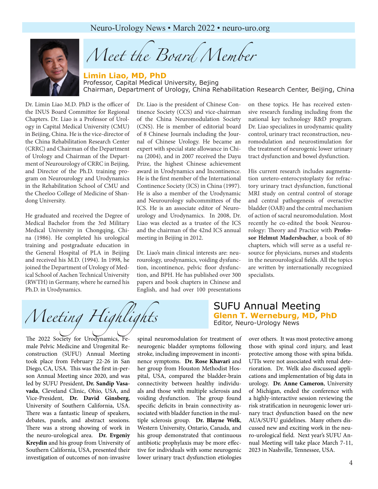#### Neuro-Urology News • March 2022 • neuro-uro.org



## *Meet the Board Member*

## **Limin Liao, MD, PhD**

Professor, Capital Medical University, Bejing Chairman, Department of Urology, China Rehabilitation Research Center, Beijing, China

Dr. Limin Liao M.D. PhD is the officer of the INUS Board Committee for Regional Chapters. Dr. Liao is a Professor of Urology in Capital Medical University (CMU) in Beijing, China. He is the vice-director of the China Rehabilitation Research Center (CRRC) and Chairman of the Department of Urology and Chairman of the Department of Neurourology of CRRC in Beijing, and Director of the Ph.D. training program on Neurourology and Urodynamics in the Rehabilitation School of CMU and the Cheeloo College of Medicine of Shandong University.

He graduated and received the Degree of Medical Bachelor from the 3rd Military Medical University in Chongqing, China (1986). He completed his urological training and postgraduate education in the General Hospital of PLA in Beijing and received his M.D. (1994). In 1998, he joined the Department of Urology of Medical School of Aachen Technical University (RWTH) in Germany, where he earned his Ph.D. in Urodynamics.

Dr. Liao is the president of Chinese Continence Society (CCS) and vice-chairman of the China Neuromodulation Society (CNS). He is member of editorial board of 8 Chinese Journals including the Journal of Chinese Urology. He became an expert with special state allowance in China (2004), and in 2007 received the Dayu Prize, the highest Chinese achievement award in Urodynamics and Incontinence. He is the first member of the International Continence Society (ICS) in China (1997). He is also a member of the Urodynamic and Neurourology subcommittees of the ICS. He is an associate editor of Neurourology and Urodynamics. In 2008, Dr. Liao was elected as a trustee of the ICS and the chairman of the 42nd ICS annual meeting in Beijing in 2012.

Dr. Liao's main clinical interests are: neurourology, urodynamics, voiding dysfunction, incontinence, pelvic floor dysfunction, and BPH. He has published over 300 papers and book chapters in Chinese and English, and had over 100 presentations on these topics. He has received extensive research funding including from the national key technology R&D program. Dr. Liao specializes in urodynamic quality control, urinary tract reconstruction, neuromodulation and neurostimulation for the treatment of neurogenic lower urinary tract dysfunction and bowel dysfunction.

His current research includes augmentation uretero-enterocystoplasty for refractory urinary tract dysfunction, functional MRI study on central control of storage and central pathogenesis of overactive bladder (OAB) and the central mechanism of action of sacral neuromodulation. Most recently he co-edited the book Neurourology: Theory and Practice with **Professor Helmut Madersbacher**, a book of 80 chapters, which will serve as a useful resource for physicians, nurses and students in the neurourological fields. All the topics are written by internationally recognized specialists.

*Meeting Highlights* SUFU Annual Meeting

The 2022 Society for Urodynamics, Female Pelvic Medicine and Urogenital Reconstruction (SUFU) Annual Meeting took place from February 22-26 in San Diego, CA, USA. This was the first in-person Annual Meeting since 2020, and was led by SUFU President, **Dr. Sandip Vasavada**, Cleveland Clinic, Ohio, USA, and Vice-President, **Dr. David Ginsberg**, University of Southern California, USA. There was a fantastic lineup of speakers, debates, panels, and abstract sessions. There was a strong showing of work in the neuro-urological area. **Dr. Evgeniy Kreydin** and his group from University of Southern California, USA, presented their investigation of outcomes of non-invasive

spinal neuromodulation for treatment of neurogenic bladder symptoms following stroke, including improvement in incontinence symptoms. **Dr. Rose Khavari** and her group from Houston Methodist Hospital, USA, compared the bladder-brain connectivity between healthy individuals and those with multiple sclerosis and voiding dysfunction. The group found specific deficits in brain connectivity associated with bladder function in the multiple sclerosis group. **Dr. Blayne Welk**, Western University, Ontario, Canada, and his group demonstrated that continuous antibiotic prophylaxis may be more effective for individuals with some neurogenic lower urinary tract dysfunction etiologies

## **Glenn T. Werneburg, MD, PhD** Editor, Neuro-Urology News

over others. It was most protective among those with spinal cord injury, and least protective among those with spina bifida. UTIs were not associated with renal deterioration. Dr. Welk also discussed applications and implementation of big data in urology. **Dr. Anne Cameron**, University of Michigan, ended the conference with a highly-interactive session reviewing the risk stratification in neurogenic lower urinary tract dysfunction based on the new AUA/SUFU guidelines. Many others discussed new and exciting work in the neuro-urological field. Next year's SUFU Annual Meeting will take place March 7-11, 2023 in Nashville, Tennessee, USA.